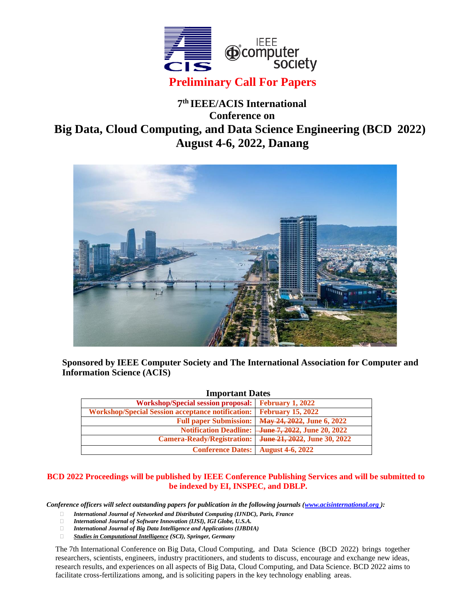

## **7 th IEEE/ACIS International Conference on Big Data, Cloud Computing, and Data Science Engineering (BCD 2022) August 4-6, 2022, Danang**



**Sponsored by IEEE Computer Society and The International Association for Computer and Information Science (ACIS)**

| <b>Important Dates</b>                            |                                                                |
|---------------------------------------------------|----------------------------------------------------------------|
| <b>Workshop/Special session proposal:</b>         | <b>February 1, 2022</b>                                        |
| Workshop/Special Session acceptance notification: | <b>February 15, 2022</b>                                       |
| <b>Full paper Submission:</b>                     | May 24, 2022, June 6, 2022                                     |
|                                                   | Notification Deadline: <del>June 7, 2022</del> , June 20, 2022 |
| <b>Camera-Ready/Registration:</b>                 | June 21, 2022, June 30, 2022                                   |
| <b>Conference Dates:</b>                          | <b>August 4-6, 2022</b>                                        |

## **BCD 2022 Proceedings will be published by IEEE Conference Publishing Services and will be submitted to be indexed by EI, INSPEC, and DBLP.**

*Conference officers will select outstanding papers for publication in the following journals [\(www.acisinternational.org](http://www.acisinternational.org/))*:

- *International Journal of Networked and Distributed Computing (IJNDC), Paris, France*
- *International Journal of Software Innovation (IJSI), IGI Globe, U.S.A.*
- *International Journal of Big Data Intelligence and Applications (IJBDIA)*
- *Studies in Computational Intelligence (SCI), Springer, Germany*

The 7th International Conference on Big Data, Cloud Computing, and Data Science (BCD 2022) brings together researchers, scientists, engineers, industry practitioners, and students to discuss, encourage and exchange new ideas, research results, and experiences on all aspects of Big Data, Cloud Computing, and Data Science. BCD 2022 aims to facilitate cross-fertilizations among, and is soliciting papers in the key technology enabling areas.